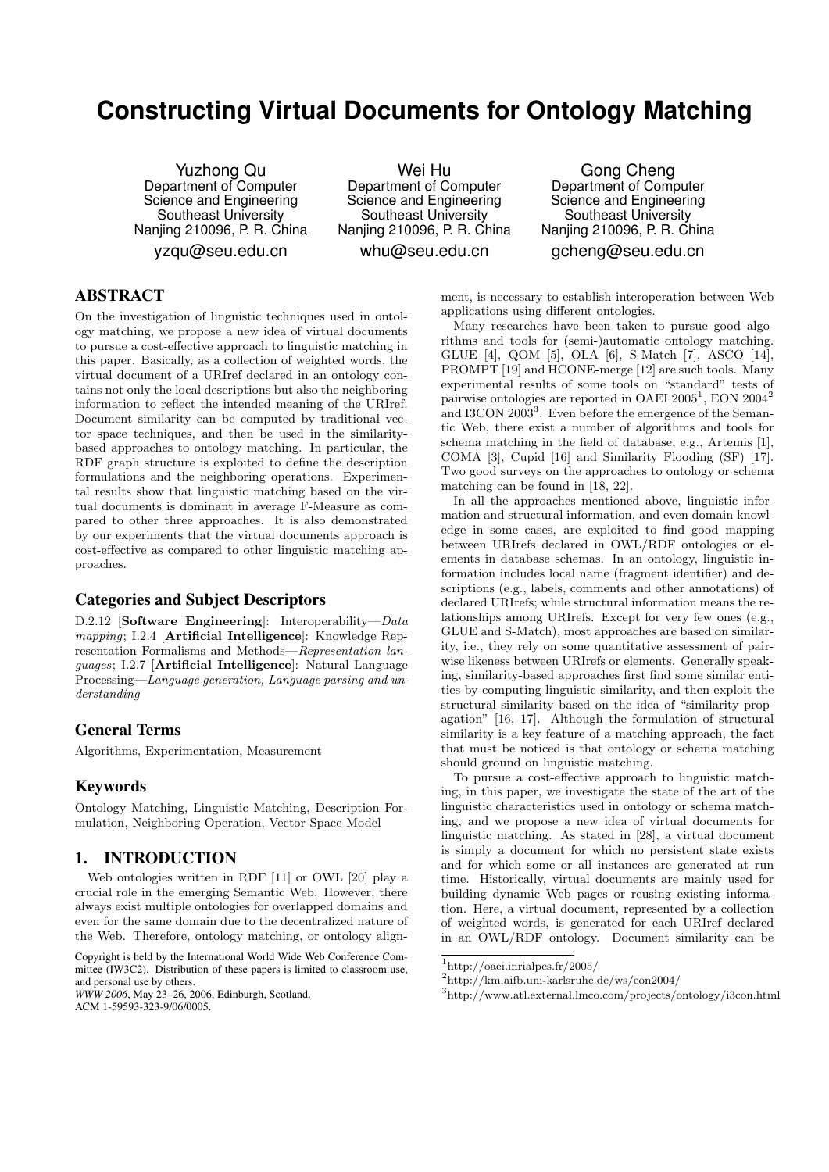# **Constructing Virtual Documents for Ontology Matching**

Yuzhong Qu Department of Computer Science and Engineering Southeast University Nanjing 210096, P. R. China yzqu@seu.edu.cn

Wei Hu Department of Computer Science and Engineering Southeast University Nanjing 210096, P. R. China whu@seu.edu.cn

Gong Cheng Department of Computer Science and Engineering Southeast University Nanjing 210096, P. R. China gcheng@seu.edu.cn

# ABSTRACT

On the investigation of linguistic techniques used in ontology matching, we propose a new idea of virtual documents to pursue a cost-effective approach to linguistic matching in this paper. Basically, as a collection of weighted words, the virtual document of a URIref declared in an ontology contains not only the local descriptions but also the neighboring information to reflect the intended meaning of the URIref. Document similarity can be computed by traditional vector space techniques, and then be used in the similaritybased approaches to ontology matching. In particular, the RDF graph structure is exploited to define the description formulations and the neighboring operations. Experimental results show that linguistic matching based on the virtual documents is dominant in average F-Measure as compared to other three approaches. It is also demonstrated by our experiments that the virtual documents approach is cost-effective as compared to other linguistic matching approaches.

## Categories and Subject Descriptors

D.2.12 [Software Engineering]: Interoperability— $Data$ mapping; I.2.4 [Artificial Intelligence]: Knowledge Representation Formalisms and Methods—Representation languages; I.2.7 [Artificial Intelligence]: Natural Language Processing—Language generation, Language parsing and understanding

## General Terms

Algorithms, Experimentation, Measurement

## Keywords

Ontology Matching, Linguistic Matching, Description Formulation, Neighboring Operation, Vector Space Model

# 1. INTRODUCTION

Web ontologies written in RDF [11] or OWL [20] play a crucial role in the emerging Semantic Web. However, there always exist multiple ontologies for overlapped domains and even for the same domain due to the decentralized nature of the Web. Therefore, ontology matching, or ontology alignment, is necessary to establish interoperation between Web applications using different ontologies.

Many researches have been taken to pursue good algorithms and tools for (semi-)automatic ontology matching. GLUE [4], QOM [5], OLA [6], S-Match [7], ASCO [14], PROMPT [19] and HCONE-merge [12] are such tools. Many experimental results of some tools on "standard" tests of pairwise ontologies are reported in OAEI  $2005^1$ , EON  $2004^2$ and I3CON 2003<sup>3</sup>. Even before the emergence of the Semantic Web, there exist a number of algorithms and tools for schema matching in the field of database, e.g., Artemis [1], COMA [3], Cupid [16] and Similarity Flooding (SF) [17]. Two good surveys on the approaches to ontology or schema matching can be found in [18, 22].

In all the approaches mentioned above, linguistic information and structural information, and even domain knowledge in some cases, are exploited to find good mapping between URIrefs declared in OWL/RDF ontologies or elements in database schemas. In an ontology, linguistic information includes local name (fragment identifier) and descriptions (e.g., labels, comments and other annotations) of declared URIrefs; while structural information means the relationships among URIrefs. Except for very few ones (e.g., GLUE and S-Match), most approaches are based on similarity, i.e., they rely on some quantitative assessment of pairwise likeness between URIrefs or elements. Generally speaking, similarity-based approaches first find some similar entities by computing linguistic similarity, and then exploit the structural similarity based on the idea of "similarity propagation" [16, 17]. Although the formulation of structural similarity is a key feature of a matching approach, the fact that must be noticed is that ontology or schema matching should ground on linguistic matching.

To pursue a cost-effective approach to linguistic matching, in this paper, we investigate the state of the art of the linguistic characteristics used in ontology or schema matching, and we propose a new idea of virtual documents for linguistic matching. As stated in [28], a virtual document is simply a document for which no persistent state exists and for which some or all instances are generated at run time. Historically, virtual documents are mainly used for building dynamic Web pages or reusing existing information. Here, a virtual document, represented by a collection of weighted words, is generated for each URIref declared in an OWL/RDF ontology. Document similarity can be

Copyright is held by the International World Wide Web Conference Committee (IW3C2). Distribution of these papers is limited to classroom use, and personal use by others.

*WWW 2006*, May 23–26, 2006, Edinburgh, Scotland. ACM 1-59593-323-9/06/0005.

<sup>1</sup> http://oaei.inrialpes.fr/2005/

<sup>2</sup> http://km.aifb.uni-karlsruhe.de/ws/eon2004/

<sup>3</sup> http://www.atl.external.lmco.com/projects/ontology/i3con.html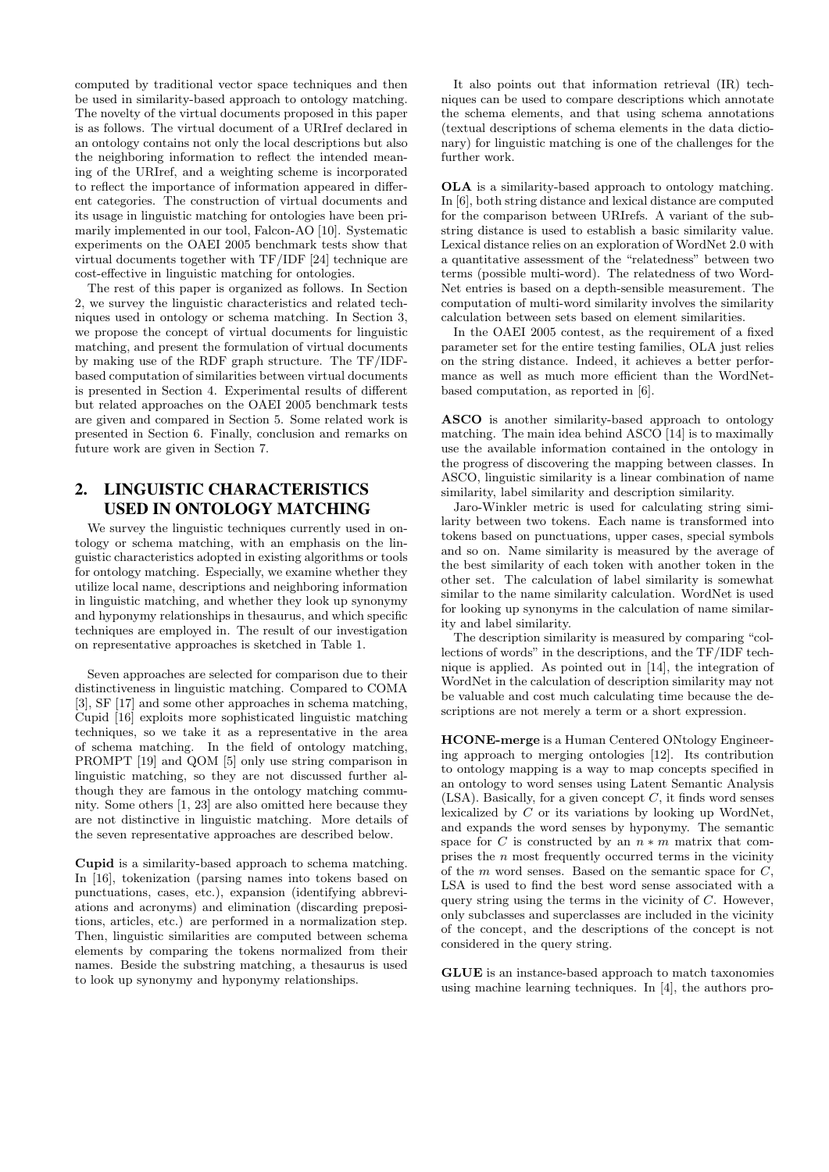computed by traditional vector space techniques and then be used in similarity-based approach to ontology matching. The novelty of the virtual documents proposed in this paper is as follows. The virtual document of a URIref declared in an ontology contains not only the local descriptions but also the neighboring information to reflect the intended meaning of the URIref, and a weighting scheme is incorporated to reflect the importance of information appeared in different categories. The construction of virtual documents and its usage in linguistic matching for ontologies have been primarily implemented in our tool, Falcon-AO [10]. Systematic experiments on the OAEI 2005 benchmark tests show that virtual documents together with TF/IDF [24] technique are cost-effective in linguistic matching for ontologies.

The rest of this paper is organized as follows. In Section 2, we survey the linguistic characteristics and related techniques used in ontology or schema matching. In Section 3, we propose the concept of virtual documents for linguistic matching, and present the formulation of virtual documents by making use of the RDF graph structure. The TF/IDFbased computation of similarities between virtual documents is presented in Section 4. Experimental results of different but related approaches on the OAEI 2005 benchmark tests are given and compared in Section 5. Some related work is presented in Section 6. Finally, conclusion and remarks on future work are given in Section 7.

# 2. LINGUISTIC CHARACTERISTICS USED IN ONTOLOGY MATCHING

We survey the linguistic techniques currently used in ontology or schema matching, with an emphasis on the linguistic characteristics adopted in existing algorithms or tools for ontology matching. Especially, we examine whether they utilize local name, descriptions and neighboring information in linguistic matching, and whether they look up synonymy and hyponymy relationships in thesaurus, and which specific techniques are employed in. The result of our investigation on representative approaches is sketched in Table 1.

Seven approaches are selected for comparison due to their distinctiveness in linguistic matching. Compared to COMA [3], SF [17] and some other approaches in schema matching, Cupid [16] exploits more sophisticated linguistic matching techniques, so we take it as a representative in the area of schema matching. In the field of ontology matching, PROMPT [19] and QOM [5] only use string comparison in linguistic matching, so they are not discussed further although they are famous in the ontology matching community. Some others [1, 23] are also omitted here because they are not distinctive in linguistic matching. More details of the seven representative approaches are described below.

Cupid is a similarity-based approach to schema matching. In [16], tokenization (parsing names into tokens based on punctuations, cases, etc.), expansion (identifying abbreviations and acronyms) and elimination (discarding prepositions, articles, etc.) are performed in a normalization step. Then, linguistic similarities are computed between schema elements by comparing the tokens normalized from their names. Beside the substring matching, a thesaurus is used to look up synonymy and hyponymy relationships.

It also points out that information retrieval (IR) techniques can be used to compare descriptions which annotate the schema elements, and that using schema annotations (textual descriptions of schema elements in the data dictionary) for linguistic matching is one of the challenges for the further work.

OLA is a similarity-based approach to ontology matching. In [6], both string distance and lexical distance are computed for the comparison between URIrefs. A variant of the substring distance is used to establish a basic similarity value. Lexical distance relies on an exploration of WordNet 2.0 with a quantitative assessment of the "relatedness" between two terms (possible multi-word). The relatedness of two Word-Net entries is based on a depth-sensible measurement. The computation of multi-word similarity involves the similarity calculation between sets based on element similarities.

In the OAEI 2005 contest, as the requirement of a fixed parameter set for the entire testing families, OLA just relies on the string distance. Indeed, it achieves a better performance as well as much more efficient than the WordNetbased computation, as reported in [6].

ASCO is another similarity-based approach to ontology matching. The main idea behind ASCO [14] is to maximally use the available information contained in the ontology in the progress of discovering the mapping between classes. In ASCO, linguistic similarity is a linear combination of name similarity, label similarity and description similarity.

Jaro-Winkler metric is used for calculating string similarity between two tokens. Each name is transformed into tokens based on punctuations, upper cases, special symbols and so on. Name similarity is measured by the average of the best similarity of each token with another token in the other set. The calculation of label similarity is somewhat similar to the name similarity calculation. WordNet is used for looking up synonyms in the calculation of name similarity and label similarity.

The description similarity is measured by comparing "collections of words" in the descriptions, and the TF/IDF technique is applied. As pointed out in [14], the integration of WordNet in the calculation of description similarity may not be valuable and cost much calculating time because the descriptions are not merely a term or a short expression.

HCONE-merge is a Human Centered ONtology Engineering approach to merging ontologies [12]. Its contribution to ontology mapping is a way to map concepts specified in an ontology to word senses using Latent Semantic Analysis  $(LSA)$ . Basically, for a given concept  $C$ , it finds word senses lexicalized by C or its variations by looking up WordNet, and expands the word senses by hyponymy. The semantic space for C is constructed by an  $n * m$  matrix that comprises the  $n$  most frequently occurred terms in the vicinity of the  $m$  word senses. Based on the semantic space for  $C$ , LSA is used to find the best word sense associated with a query string using the terms in the vicinity of  $C$ . However, only subclasses and superclasses are included in the vicinity of the concept, and the descriptions of the concept is not considered in the query string.

GLUE is an instance-based approach to match taxonomies using machine learning techniques. In [4], the authors pro-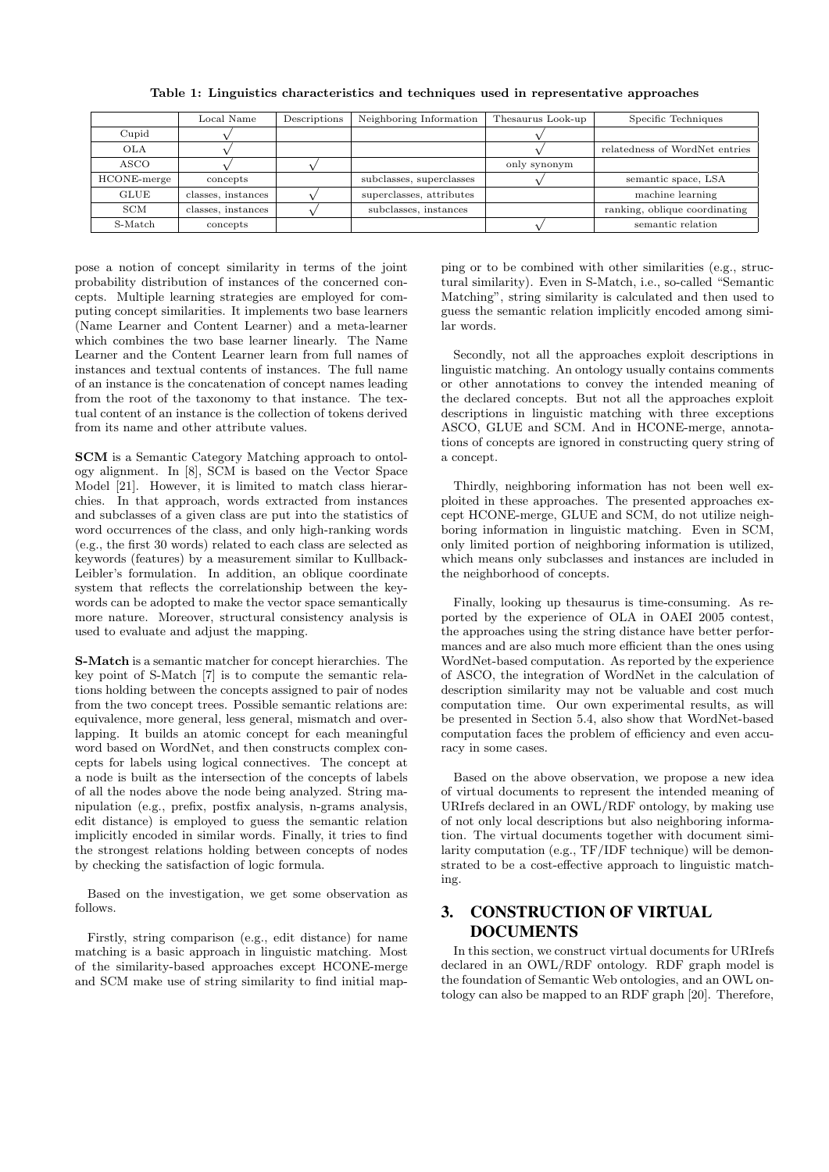Table 1: Linguistics characteristics and techniques used in representative approaches

|             | Local Name         | Descriptions | Neighboring Information  | Thesaurus Look-up | Specific Techniques            |
|-------------|--------------------|--------------|--------------------------|-------------------|--------------------------------|
| Cupid       |                    |              |                          |                   |                                |
| OLA         |                    |              |                          |                   | relatedness of WordNet entries |
| <b>ASCO</b> |                    |              |                          | only synonym      |                                |
| HCONE-merge | concepts           |              | subclasses, superclasses |                   | semantic space, LSA            |
| <b>GLUE</b> | classes, instances |              | superclasses, attributes |                   | machine learning               |
| SCM         | classes, instances |              | subclasses, instances    |                   | ranking, oblique coordinating  |
| S-Match     | concepts           |              |                          |                   | semantic relation              |

pose a notion of concept similarity in terms of the joint probability distribution of instances of the concerned concepts. Multiple learning strategies are employed for computing concept similarities. It implements two base learners (Name Learner and Content Learner) and a meta-learner which combines the two base learner linearly. The Name Learner and the Content Learner learn from full names of instances and textual contents of instances. The full name of an instance is the concatenation of concept names leading from the root of the taxonomy to that instance. The textual content of an instance is the collection of tokens derived from its name and other attribute values.

SCM is a Semantic Category Matching approach to ontology alignment. In [8], SCM is based on the Vector Space Model [21]. However, it is limited to match class hierarchies. In that approach, words extracted from instances and subclasses of a given class are put into the statistics of word occurrences of the class, and only high-ranking words (e.g., the first 30 words) related to each class are selected as keywords (features) by a measurement similar to Kullback-Leibler's formulation. In addition, an oblique coordinate system that reflects the correlationship between the keywords can be adopted to make the vector space semantically more nature. Moreover, structural consistency analysis is used to evaluate and adjust the mapping.

S-Match is a semantic matcher for concept hierarchies. The key point of S-Match [7] is to compute the semantic relations holding between the concepts assigned to pair of nodes from the two concept trees. Possible semantic relations are: equivalence, more general, less general, mismatch and overlapping. It builds an atomic concept for each meaningful word based on WordNet, and then constructs complex concepts for labels using logical connectives. The concept at a node is built as the intersection of the concepts of labels of all the nodes above the node being analyzed. String manipulation (e.g., prefix, postfix analysis, n-grams analysis, edit distance) is employed to guess the semantic relation implicitly encoded in similar words. Finally, it tries to find the strongest relations holding between concepts of nodes by checking the satisfaction of logic formula.

Based on the investigation, we get some observation as follows.

Firstly, string comparison (e.g., edit distance) for name matching is a basic approach in linguistic matching. Most of the similarity-based approaches except HCONE-merge and SCM make use of string similarity to find initial mapping or to be combined with other similarities (e.g., structural similarity). Even in S-Match, i.e., so-called "Semantic Matching", string similarity is calculated and then used to guess the semantic relation implicitly encoded among similar words.

Secondly, not all the approaches exploit descriptions in linguistic matching. An ontology usually contains comments or other annotations to convey the intended meaning of the declared concepts. But not all the approaches exploit descriptions in linguistic matching with three exceptions ASCO, GLUE and SCM. And in HCONE-merge, annotations of concepts are ignored in constructing query string of a concept.

Thirdly, neighboring information has not been well exploited in these approaches. The presented approaches except HCONE-merge, GLUE and SCM, do not utilize neighboring information in linguistic matching. Even in SCM, only limited portion of neighboring information is utilized, which means only subclasses and instances are included in the neighborhood of concepts.

Finally, looking up thesaurus is time-consuming. As reported by the experience of OLA in OAEI 2005 contest, the approaches using the string distance have better performances and are also much more efficient than the ones using WordNet-based computation. As reported by the experience of ASCO, the integration of WordNet in the calculation of description similarity may not be valuable and cost much computation time. Our own experimental results, as will be presented in Section 5.4, also show that WordNet-based computation faces the problem of efficiency and even accuracy in some cases.

Based on the above observation, we propose a new idea of virtual documents to represent the intended meaning of URIrefs declared in an OWL/RDF ontology, by making use of not only local descriptions but also neighboring information. The virtual documents together with document similarity computation (e.g., TF/IDF technique) will be demonstrated to be a cost-effective approach to linguistic matching.

# 3. CONSTRUCTION OF VIRTUAL DOCUMENTS

In this section, we construct virtual documents for URIrefs declared in an OWL/RDF ontology. RDF graph model is the foundation of Semantic Web ontologies, and an OWL ontology can also be mapped to an RDF graph [20]. Therefore,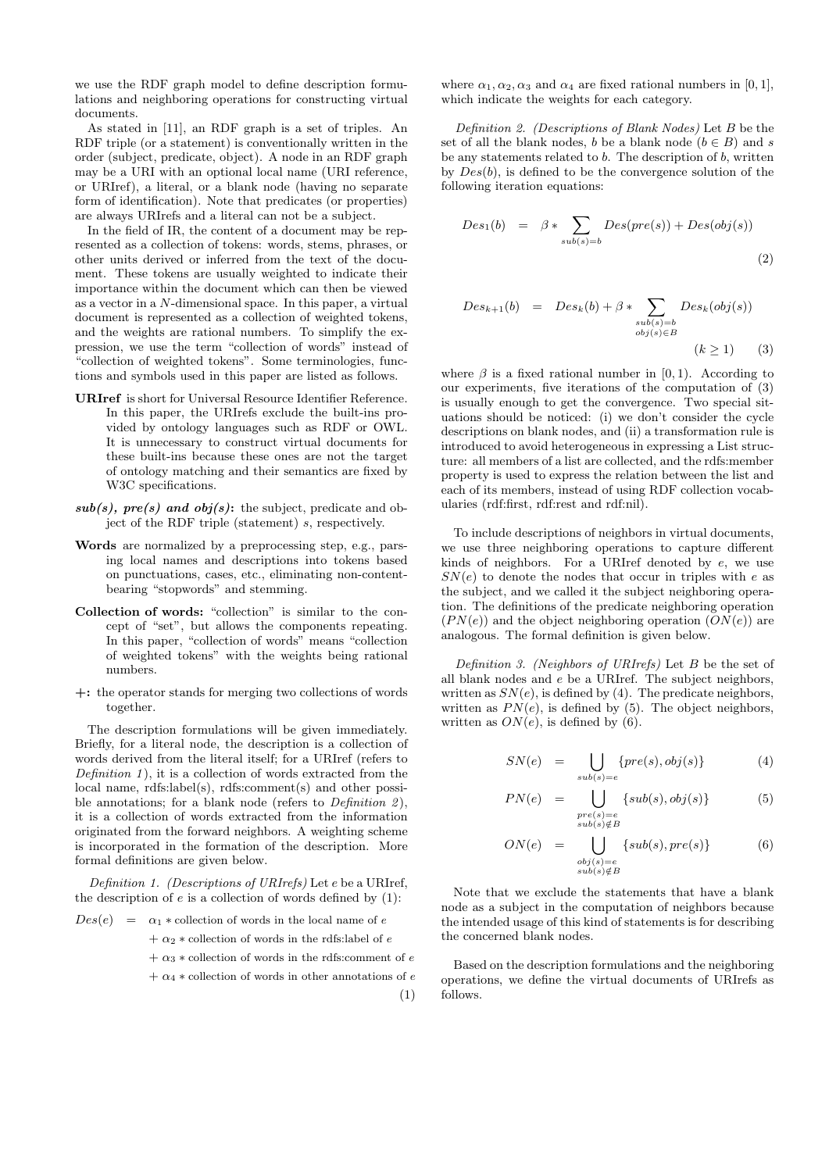we use the RDF graph model to define description formulations and neighboring operations for constructing virtual documents.

As stated in [11], an RDF graph is a set of triples. An RDF triple (or a statement) is conventionally written in the order (subject, predicate, object). A node in an RDF graph may be a URI with an optional local name (URI reference, or URIref), a literal, or a blank node (having no separate form of identification). Note that predicates (or properties) are always URIrefs and a literal can not be a subject.

In the field of IR, the content of a document may be represented as a collection of tokens: words, stems, phrases, or other units derived or inferred from the text of the document. These tokens are usually weighted to indicate their importance within the document which can then be viewed as a vector in a N-dimensional space. In this paper, a virtual document is represented as a collection of weighted tokens, and the weights are rational numbers. To simplify the expression, we use the term "collection of words" instead of "collection of weighted tokens". Some terminologies, functions and symbols used in this paper are listed as follows.

- URIref is short for Universal Resource Identifier Reference. In this paper, the URIrefs exclude the built-ins provided by ontology languages such as RDF or OWL. It is unnecessary to construct virtual documents for these built-ins because these ones are not the target of ontology matching and their semantics are fixed by W<sub>3</sub>C specifications.
- $sub(s)$ ,  $pre(s)$  and  $obj(s)$ : the subject, predicate and object of the RDF triple (statement) s, respectively.
- Words are normalized by a preprocessing step, e.g., parsing local names and descriptions into tokens based on punctuations, cases, etc., eliminating non-contentbearing "stopwords" and stemming.
- Collection of words: "collection" is similar to the concept of "set", but allows the components repeating. In this paper, "collection of words" means "collection of weighted tokens" with the weights being rational numbers.
- +: the operator stands for merging two collections of words together.

The description formulations will be given immediately. Briefly, for a literal node, the description is a collection of words derived from the literal itself; for a URIref (refers to Definition 1), it is a collection of words extracted from the local name, rdfs:label(s), rdfs:comment(s) and other possible annotations; for a blank node (refers to  $Definition 2$ ), it is a collection of words extracted from the information originated from the forward neighbors. A weighting scheme is incorporated in the formation of the description. More formal definitions are given below.

Definition 1. (Descriptions of URIrefs) Let e be a URIref, the description of  $e$  is a collection of words defined by  $(1)$ :

- $Des(e) = \alpha_1 *$  collection of words in the local name of e  $+ \alpha_2 *$  collection of words in the rdfs:label of e  $+ \alpha_3 *$  collection of words in the rdfs: comment of e
	- $+ \alpha_4 *$  collection of words in other annotations of e

(1)

where  $\alpha_1, \alpha_2, \alpha_3$  and  $\alpha_4$  are fixed rational numbers in [0, 1], which indicate the weights for each category.

Definition 2. (Descriptions of Blank Nodes) Let B be the set of all the blank nodes, b be a blank node ( $b \in B$ ) and s be any statements related to  $b$ . The description of  $b$ , written by  $Des(b)$ , is defined to be the convergence solution of the following iteration equations:

$$
Des_1(b) = \beta * \sum_{sub(s)=b} Des(pre(s)) + Des(obj(s))
$$
\n(2)

$$
Des_{k+1}(b) = Des_k(b) + \beta * \sum_{\substack{sub(s)=b \\ obj(s) \in B}} Des_k(obj(s))
$$
  
(k \ge 1) (3)

where  $\beta$  is a fixed rational number in [0, 1]. According to our experiments, five iterations of the computation of (3) is usually enough to get the convergence. Two special situations should be noticed: (i) we don't consider the cycle descriptions on blank nodes, and (ii) a transformation rule is introduced to avoid heterogeneous in expressing a List structure: all members of a list are collected, and the rdfs:member property is used to express the relation between the list and each of its members, instead of using RDF collection vocabularies (rdf:first, rdf:rest and rdf:nil).

To include descriptions of neighbors in virtual documents, we use three neighboring operations to capture different kinds of neighbors. For a URIref denoted by e, we use  $SN(e)$  to denote the nodes that occur in triples with e as the subject, and we called it the subject neighboring operation. The definitions of the predicate neighboring operation  $(PN(e))$  and the object neighboring operation  $(ON(e))$  are analogous. The formal definition is given below.

Definition 3. (Neighbors of URIrefs) Let B be the set of all blank nodes and e be a URIref. The subject neighbors, written as  $SN(e)$ , is defined by (4). The predicate neighbors, written as  $PN(e)$ , is defined by (5). The object neighbors, written as  $ON(e)$ , is defined by (6).

$$
SN(e) = \bigcup_{sub(s)=e} \{pre(s), obj(s)\} \tag{4}
$$

$$
PN(e) = \bigcup_{\substack{pre(s)=e \\ sub(s)\notin B}} \{sub(s), obj(s)\}
$$
(5)

$$
ON(e) = \bigcup_{\substack{obj(s)=e\\sub(s)\notin B}} \{sub(s), pre(s)\}
$$
(6)

Note that we exclude the statements that have a blank node as a subject in the computation of neighbors because the intended usage of this kind of statements is for describing the concerned blank nodes.

Based on the description formulations and the neighboring operations, we define the virtual documents of URIrefs as follows.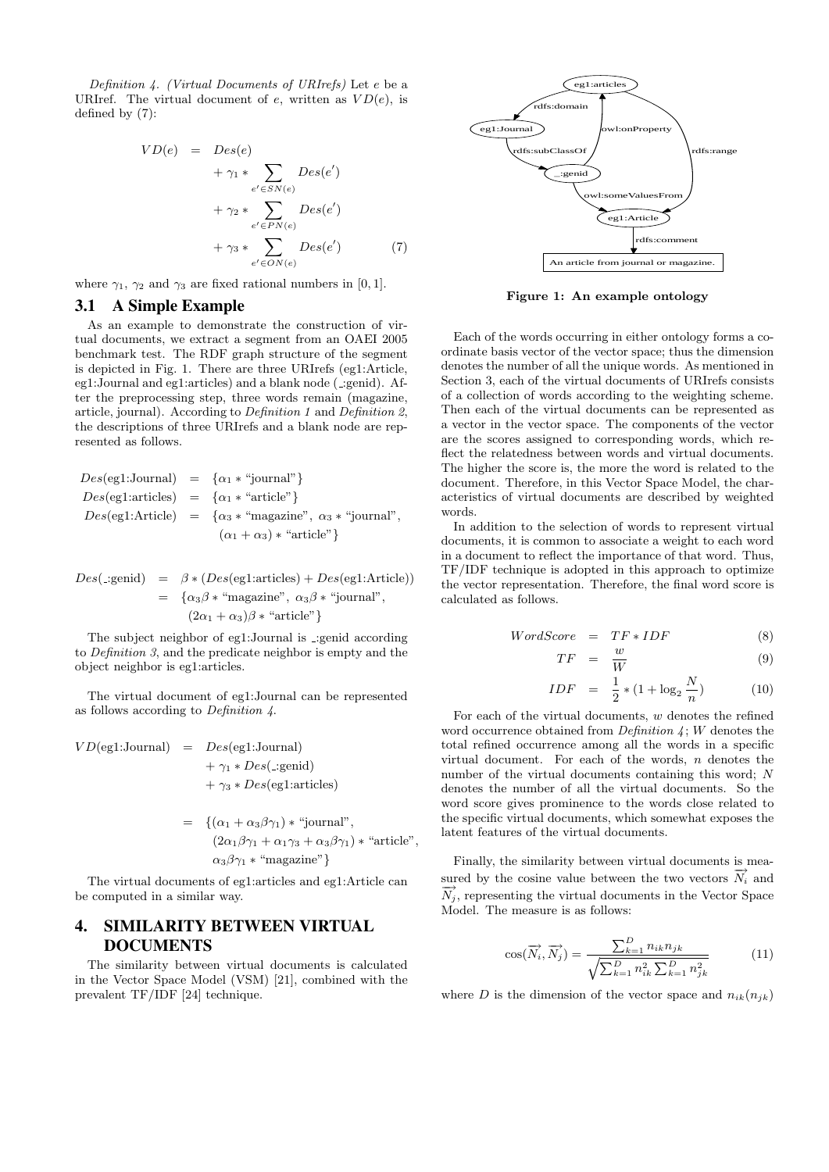Definition 4. (Virtual Documents of URIrefs) Let e be a URIref. The virtual document of e, written as  $VD(e)$ , is defined by (7):

$$
VD(e) = Des(e)
$$
  
+  $\gamma_1 * \sum_{e' \in SN(e)} Des(e')$   
+  $\gamma_2 * \sum_{e' \in PN(e)} Des(e')$   
+  $\gamma_3 * \sum_{e' \in ON(e)} Des(e')$  (7)

where  $\gamma_1$ ,  $\gamma_2$  and  $\gamma_3$  are fixed rational numbers in [0, 1].

## 3.1 A Simple Example

As an example to demonstrate the construction of virtual documents, we extract a segment from an OAEI 2005 benchmark test. The RDF graph structure of the segment is depicted in Fig. 1. There are three URIrefs (eg1:Article, eg1: Journal and eg1: articles) and a blank node (:genid). After the preprocessing step, three words remain (magazine, article, journal). According to Definition 1 and Definition 2, the descriptions of three URIrefs and a blank node are represented as follows.

$$
Des(eg1:Journal) = \{\alpha_1 * "journal"\}
$$
  
\n
$$
Des(eg1:articles) = \{\alpha_1 * "article"\}
$$
  
\n
$$
Des(eg1:Article) = \{\alpha_3 * "magazine", \alpha_3 * "journal",
$$
  
\n
$$
(\alpha_1 + \alpha_3) * "article"\}
$$

$$
Des(\text{--genid}) = \beta * (Des(\text{eg1:articles}) + Des(\text{eg1:Article}))
$$
  
=  $\{\alpha_3 \beta * \text{``magazine''}, \alpha_3 \beta * \text{``journal''},$   
 $(2\alpha_1 + \alpha_3)\beta * \text{``article''}\}\$ 

The subject neighbor of eg1: Journal is  $\Box$ genid according to Definition 3, and the predicate neighbor is empty and the object neighbor is eg1:articles.

The virtual document of eg1:Journal can be represented as follows according to Definition 4.

$$
VD(eg1:Journal) = Des(eg1:Journal)
$$
  
+  $\gamma_1 * Des(\text{-genid})$   
+  $\gamma_3 * Des(eg1:articles)$ 

$$
= \{(\alpha_1 + \alpha_3 \beta \gamma_1) * "journal",(2\alpha_1 \beta \gamma_1 + \alpha_1 \gamma_3 + \alpha_3 \beta \gamma_1) * "article",\alpha_3 \beta \gamma_1 * "magazine"\}
$$

The virtual documents of eg1:articles and eg1:Article can be computed in a similar way.

# 4. SIMILARITY BETWEEN VIRTUAL DOCUMENTS

The similarity between virtual documents is calculated in the Vector Space Model (VSM) [21], combined with the prevalent TF/IDF [24] technique.



Figure 1: An example ontology

Each of the words occurring in either ontology forms a coordinate basis vector of the vector space; thus the dimension denotes the number of all the unique words. As mentioned in Section 3, each of the virtual documents of URIrefs consists of a collection of words according to the weighting scheme. Then each of the virtual documents can be represented as a vector in the vector space. The components of the vector are the scores assigned to corresponding words, which reflect the relatedness between words and virtual documents. The higher the score is, the more the word is related to the document. Therefore, in this Vector Space Model, the characteristics of virtual documents are described by weighted words.

In addition to the selection of words to represent virtual documents, it is common to associate a weight to each word in a document to reflect the importance of that word. Thus, TF/IDF technique is adopted in this approach to optimize the vector representation. Therefore, the final word score is calculated as follows.

 $TF$ 

$$
WordScore = TF * IDF
$$
 (8)

$$
= \frac{w}{W} \tag{9}
$$

$$
IDF = \frac{1}{2} * (1 + \log_2 \frac{N}{n})
$$
 (10)

For each of the virtual documents, w denotes the refined word occurrence obtained from  $Definition\;4$ ; W denotes the total refined occurrence among all the words in a specific virtual document. For each of the words,  $n$  denotes the number of the virtual documents containing this word; N denotes the number of all the virtual documents. So the word score gives prominence to the words close related to the specific virtual documents, which somewhat exposes the latent features of the virtual documents.

Finally, the similarity between virtual documents is measured by the cosine value between the two vectors  $N_i$  and  $\overrightarrow{N}_j$ , representing the virtual documents in the Vector Space Model. The measure is as follows:

$$
\cos(\overrightarrow{N}_{i}, \overrightarrow{N}_{j}) = \frac{\sum_{k=1}^{D} n_{ik} n_{jk}}{\sqrt{\sum_{k=1}^{D} n_{ik}^{2} \sum_{k=1}^{D} n_{jk}^{2}}}
$$
(11)

where D is the dimension of the vector space and  $n_{ik}(n_{jk})$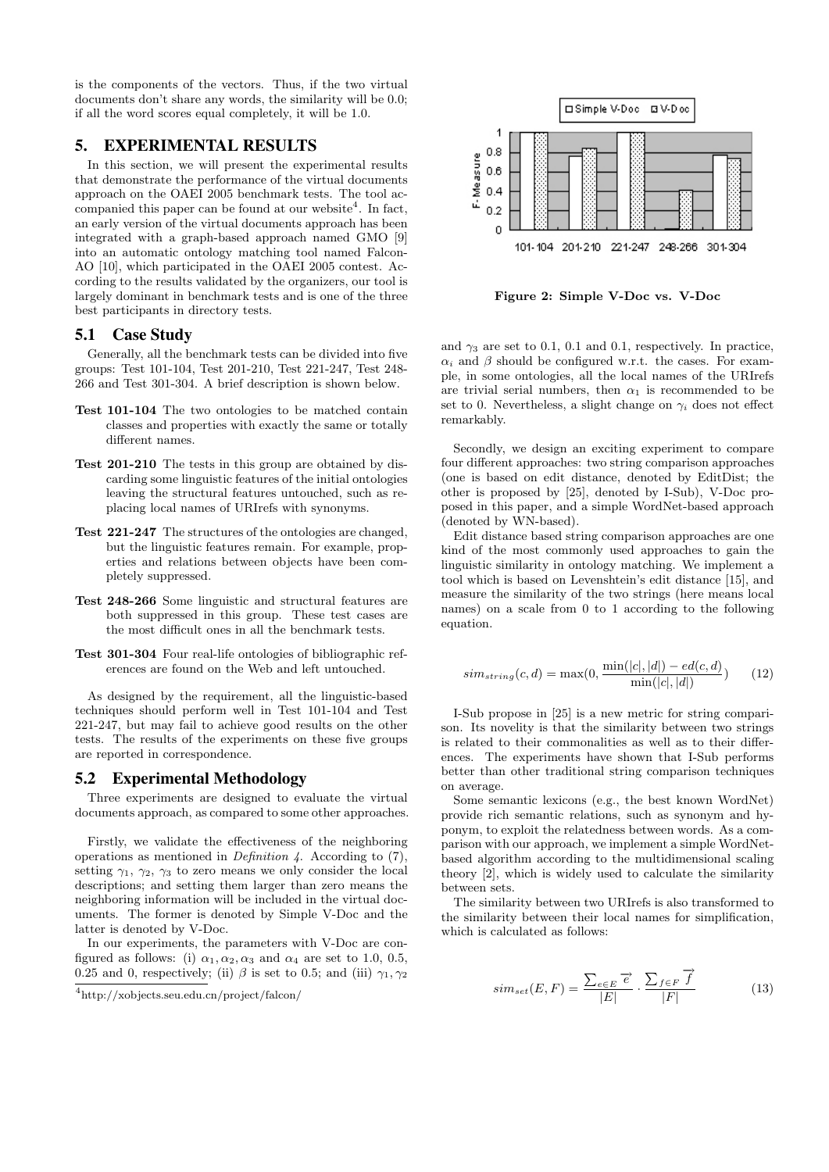is the components of the vectors. Thus, if the two virtual documents don't share any words, the similarity will be 0.0; if all the word scores equal completely, it will be 1.0.

# 5. EXPERIMENTAL RESULTS

In this section, we will present the experimental results that demonstrate the performance of the virtual documents approach on the OAEI 2005 benchmark tests. The tool accompanied this paper can be found at our website<sup>4</sup>. In fact, an early version of the virtual documents approach has been integrated with a graph-based approach named GMO [9] into an automatic ontology matching tool named Falcon-AO [10], which participated in the OAEI 2005 contest. According to the results validated by the organizers, our tool is largely dominant in benchmark tests and is one of the three best participants in directory tests.

#### 5.1 Case Study

Generally, all the benchmark tests can be divided into five groups: Test 101-104, Test 201-210, Test 221-247, Test 248- 266 and Test 301-304. A brief description is shown below.

- Test 101-104 The two ontologies to be matched contain classes and properties with exactly the same or totally different names.
- Test 201-210 The tests in this group are obtained by discarding some linguistic features of the initial ontologies leaving the structural features untouched, such as replacing local names of URIrefs with synonyms.
- Test 221-247 The structures of the ontologies are changed, but the linguistic features remain. For example, properties and relations between objects have been completely suppressed.
- Test 248-266 Some linguistic and structural features are both suppressed in this group. These test cases are the most difficult ones in all the benchmark tests.
- Test 301-304 Four real-life ontologies of bibliographic references are found on the Web and left untouched.

As designed by the requirement, all the linguistic-based techniques should perform well in Test 101-104 and Test 221-247, but may fail to achieve good results on the other tests. The results of the experiments on these five groups are reported in correspondence.

#### 5.2 Experimental Methodology

Three experiments are designed to evaluate the virtual documents approach, as compared to some other approaches.

Firstly, we validate the effectiveness of the neighboring operations as mentioned in *Definition 4*. According to  $(7)$ , setting  $\gamma_1$ ,  $\gamma_2$ ,  $\gamma_3$  to zero means we only consider the local descriptions; and setting them larger than zero means the neighboring information will be included in the virtual documents. The former is denoted by Simple V-Doc and the latter is denoted by V-Doc.

In our experiments, the parameters with V-Doc are configured as follows: (i)  $\alpha_1, \alpha_2, \alpha_3$  and  $\alpha_4$  are set to 1.0, 0.5, 0.25 and 0, respectively; (ii)  $\beta$  is set to 0.5; and (iii)  $\gamma_1, \gamma_2$ 



Figure 2: Simple V-Doc vs. V-Doc

and  $\gamma_3$  are set to 0.1, 0.1 and 0.1, respectively. In practice,  $\alpha_i$  and  $\beta$  should be configured w.r.t. the cases. For example, in some ontologies, all the local names of the URIrefs are trivial serial numbers, then  $\alpha_1$  is recommended to be set to 0. Nevertheless, a slight change on  $\gamma_i$  does not effect remarkably.

Secondly, we design an exciting experiment to compare four different approaches: two string comparison approaches (one is based on edit distance, denoted by EditDist; the other is proposed by [25], denoted by I-Sub), V-Doc proposed in this paper, and a simple WordNet-based approach (denoted by WN-based).

Edit distance based string comparison approaches are one kind of the most commonly used approaches to gain the linguistic similarity in ontology matching. We implement a tool which is based on Levenshtein's edit distance [15], and measure the similarity of the two strings (here means local names) on a scale from 0 to 1 according to the following equation.

$$
sim_{string}(c,d) = \max(0, \frac{\min(|c|, |d|) - ed(c, d)}{\min(|c|, |d|)})
$$
 (12)

I-Sub propose in [25] is a new metric for string comparison. Its novelity is that the similarity between two strings is related to their commonalities as well as to their differences. The experiments have shown that I-Sub performs better than other traditional string comparison techniques on average.

Some semantic lexicons (e.g., the best known WordNet) provide rich semantic relations, such as synonym and hyponym, to exploit the relatedness between words. As a comparison with our approach, we implement a simple WordNetbased algorithm according to the multidimensional scaling theory [2], which is widely used to calculate the similarity between sets.

The similarity between two URIrefs is also transformed to the similarity between their local names for simplification, which is calculated as follows:

$$
sim_{set}(E, F) = \frac{\sum_{e \in E} \overrightarrow{e}}{|E|} \cdot \frac{\sum_{f \in F} \overrightarrow{f}}{|F|}
$$
(13)

<sup>4</sup> http://xobjects.seu.edu.cn/project/falcon/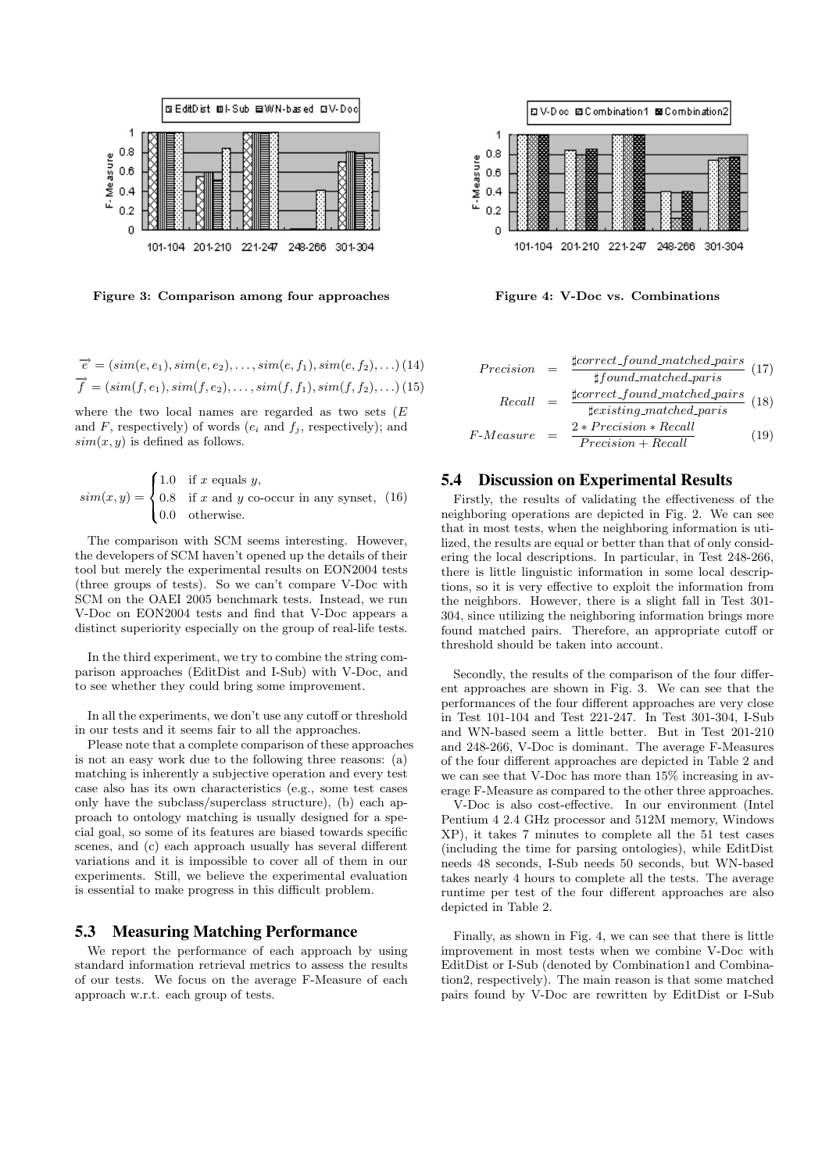

Figure 3: Comparison among four approaches

$$
\overrightarrow{e} = (sim(e, e_1), sim(e, e_2), \dots, sim(e, f_1), sim(e, f_2), \dots) (14)
$$
  

$$
\overrightarrow{f} = (sim(f, e_1), sim(f, e_2), \dots, sim(f, f_1), sim(f, f_2), \dots) (15)
$$

where the two local names are regarded as two sets  $(E)$ and  $F$ , respectively) of words  $(e_i$  and  $f_j$ , respectively); and  $sim(x, y)$  is defined as follows.

$$
sim(x, y) = \begin{cases} 1.0 & \text{if } x \text{ equals } y, \\ 0.8 & \text{if } x \text{ and } y \text{ co-occur in any synset, (16)} \\ 0.0 & \text{otherwise.} \end{cases}
$$

The comparison with SCM seems interesting. However, the developers of SCM haven't opened up the details of their tool but merely the experimental results on EON2004 tests (three groups of tests). So we can't compare V-Doc with SCM on the OAEI 2005 benchmark tests. Instead, we run V-Doc on EON2004 tests and find that V-Doc appears a distinct superiority especially on the group of real-life tests.

In the third experiment, we try to combine the string comparison approaches (EditDist and I-Sub) with V-Doc, and to see whether they could bring some improvement.

In all the experiments, we don't use any cutoff or threshold in our tests and it seems fair to all the approaches.

Please note that a complete comparison of these approaches is not an easy work due to the following three reasons: (a) matching is inherently a subjective operation and every test case also has its own characteristics (e.g., some test cases only have the subclass/superclass structure), (b) each approach to ontology matching is usually designed for a special goal, so some of its features are biased towards specific scenes, and (c) each approach usually has several different variations and it is impossible to cover all of them in our experiments. Still, we believe the experimental evaluation is essential to make progress in this difficult problem.

#### 5.3 Measuring Matching Performance

We report the performance of each approach by using standard information retrieval metrics to assess the results of our tests. We focus on the average F-Measure of each approach w.r.t. each group of tests.



Figure 4: V-Doc vs. Combinations

| Precision   | $=$      | $\sharp correct\_found\_matched\_pairs$ (17)<br>$\sharp found\_matched\_pairs$ |      |
|-------------|----------|--------------------------------------------------------------------------------|------|
| Recall      | $\equiv$ | $\sharp correct\_found\_matched\_pairs$<br>$\sharp existing\_matched\_pairs$   | (18) |
| $F-Measure$ | $=$      | $2*Precision*Recall$<br>$Precision + Recall$                                   | (19) |

#### 5.4 Discussion on Experimental Results

Firstly, the results of validating the effectiveness of the neighboring operations are depicted in Fig. 2. We can see that in most tests, when the neighboring information is utilized, the results are equal or better than that of only considering the local descriptions. In particular, in Test 248-266, there is little linguistic information in some local descriptions, so it is very effective to exploit the information from the neighbors. However, there is a slight fall in Test 301- 304, since utilizing the neighboring information brings more found matched pairs. Therefore, an appropriate cutoff or threshold should be taken into account.

Secondly, the results of the comparison of the four different approaches are shown in Fig. 3. We can see that the performances of the four different approaches are very close in Test 101-104 and Test 221-247. In Test 301-304, I-Sub and WN-based seem a little better. But in Test 201-210 and 248-266, V-Doc is dominant. The average F-Measures of the four different approaches are depicted in Table 2 and we can see that V-Doc has more than 15% increasing in average F-Measure as compared to the other three approaches.

V-Doc is also cost-effective. In our environment (Intel Pentium 4 2.4 GHz processor and 512M memory, Windows XP), it takes 7 minutes to complete all the 51 test cases (including the time for parsing ontologies), while EditDist needs 48 seconds, I-Sub needs 50 seconds, but WN-based takes nearly 4 hours to complete all the tests. The average runtime per test of the four different approaches are also depicted in Table 2.

Finally, as shown in Fig. 4, we can see that there is little improvement in most tests when we combine V-Doc with EditDist or I-Sub (denoted by Combination1 and Combination2, respectively). The main reason is that some matched pairs found by V-Doc are rewritten by EditDist or I-Sub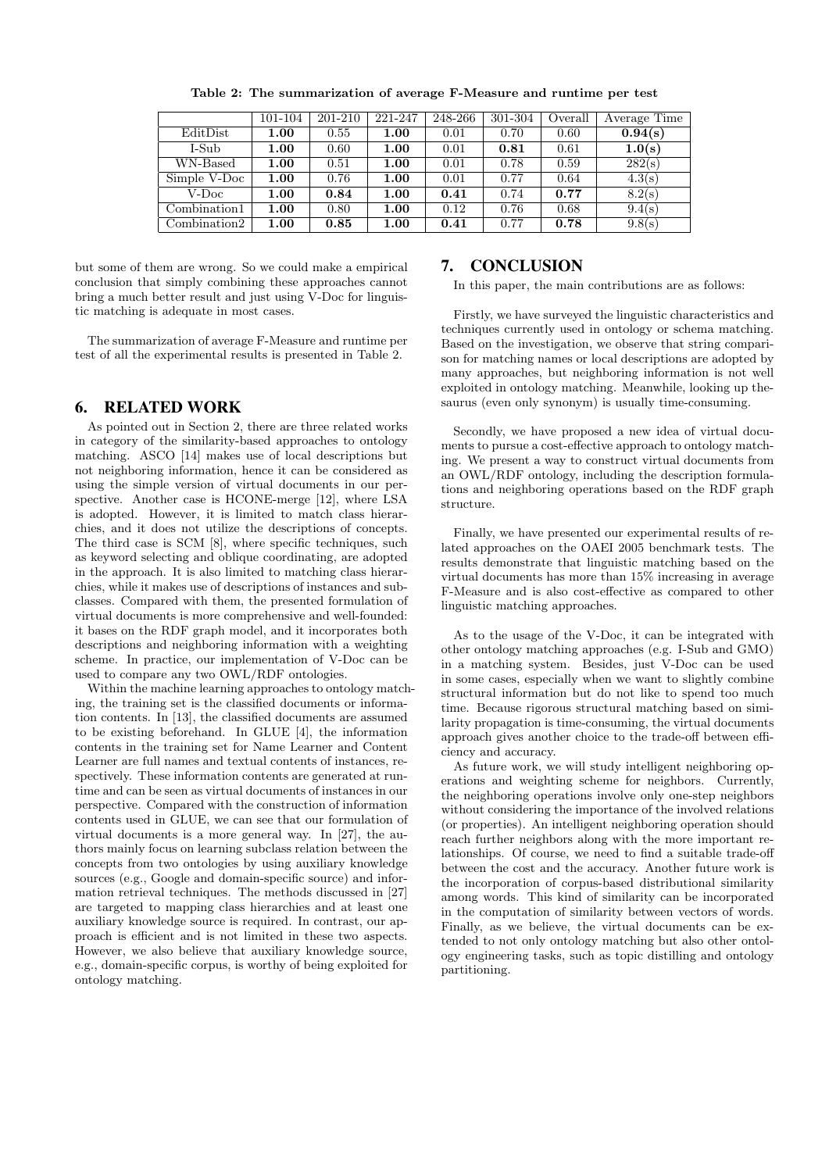|                          | 101-104 | 201-210 | 221-247 | 248-266 | 301-304 | Overall | Average Time |
|--------------------------|---------|---------|---------|---------|---------|---------|--------------|
| EditDist                 | 1.00    | 0.55    | 1.00    | 0.01    | 0.70    | 0.60    | 0.94(s)      |
| I-Sub                    | 1.00    | 0.60    | 1.00    | 0.01    | 0.81    | 0.61    | 1.0(s)       |
| WN-Based                 | 1.00    | 0.51    | 1.00    | 0.01    | 0.78    | 0.59    | 282(s)       |
| Simple V-Doc             | 1.00    | 0.76    | 1.00    | 0.01    | 0.77    | 0.64    | 4.3(s)       |
| V-Doc                    | 1.00    | 0.84    | 1.00    | 0.41    | 0.74    | 0.77    | 8.2(s)       |
| Combination1             | 1.00    | 0.80    | 1.00    | 0.12    | 0.76    | 0.68    | 9.4(s)       |
| Combination <sub>2</sub> | 1.00    | 0.85    | 1.00    | 0.41    | 0.77    | 0.78    | 9.8(s)       |

Table 2: The summarization of average F-Measure and runtime per test

but some of them are wrong. So we could make a empirical conclusion that simply combining these approaches cannot bring a much better result and just using V-Doc for linguistic matching is adequate in most cases.

The summarization of average F-Measure and runtime per test of all the experimental results is presented in Table 2.

# 6. RELATED WORK

As pointed out in Section 2, there are three related works in category of the similarity-based approaches to ontology matching. ASCO [14] makes use of local descriptions but not neighboring information, hence it can be considered as using the simple version of virtual documents in our perspective. Another case is HCONE-merge [12], where LSA is adopted. However, it is limited to match class hierarchies, and it does not utilize the descriptions of concepts. The third case is SCM [8], where specific techniques, such as keyword selecting and oblique coordinating, are adopted in the approach. It is also limited to matching class hierarchies, while it makes use of descriptions of instances and subclasses. Compared with them, the presented formulation of virtual documents is more comprehensive and well-founded: it bases on the RDF graph model, and it incorporates both descriptions and neighboring information with a weighting scheme. In practice, our implementation of V-Doc can be used to compare any two OWL/RDF ontologies.

Within the machine learning approaches to ontology matching, the training set is the classified documents or information contents. In [13], the classified documents are assumed to be existing beforehand. In GLUE [4], the information contents in the training set for Name Learner and Content Learner are full names and textual contents of instances, respectively. These information contents are generated at runtime and can be seen as virtual documents of instances in our perspective. Compared with the construction of information contents used in GLUE, we can see that our formulation of virtual documents is a more general way. In [27], the authors mainly focus on learning subclass relation between the concepts from two ontologies by using auxiliary knowledge sources (e.g., Google and domain-specific source) and information retrieval techniques. The methods discussed in [27] are targeted to mapping class hierarchies and at least one auxiliary knowledge source is required. In contrast, our approach is efficient and is not limited in these two aspects. However, we also believe that auxiliary knowledge source, e.g., domain-specific corpus, is worthy of being exploited for ontology matching.

## 7. CONCLUSION

In this paper, the main contributions are as follows:

Firstly, we have surveyed the linguistic characteristics and techniques currently used in ontology or schema matching. Based on the investigation, we observe that string comparison for matching names or local descriptions are adopted by many approaches, but neighboring information is not well exploited in ontology matching. Meanwhile, looking up thesaurus (even only synonym) is usually time-consuming.

Secondly, we have proposed a new idea of virtual documents to pursue a cost-effective approach to ontology matching. We present a way to construct virtual documents from an OWL/RDF ontology, including the description formulations and neighboring operations based on the RDF graph structure.

Finally, we have presented our experimental results of related approaches on the OAEI 2005 benchmark tests. The results demonstrate that linguistic matching based on the virtual documents has more than 15% increasing in average F-Measure and is also cost-effective as compared to other linguistic matching approaches.

As to the usage of the V-Doc, it can be integrated with other ontology matching approaches (e.g. I-Sub and GMO) in a matching system. Besides, just V-Doc can be used in some cases, especially when we want to slightly combine structural information but do not like to spend too much time. Because rigorous structural matching based on similarity propagation is time-consuming, the virtual documents approach gives another choice to the trade-off between efficiency and accuracy.

As future work, we will study intelligent neighboring operations and weighting scheme for neighbors. Currently, the neighboring operations involve only one-step neighbors without considering the importance of the involved relations (or properties). An intelligent neighboring operation should reach further neighbors along with the more important relationships. Of course, we need to find a suitable trade-off between the cost and the accuracy. Another future work is the incorporation of corpus-based distributional similarity among words. This kind of similarity can be incorporated in the computation of similarity between vectors of words. Finally, as we believe, the virtual documents can be extended to not only ontology matching but also other ontology engineering tasks, such as topic distilling and ontology partitioning.